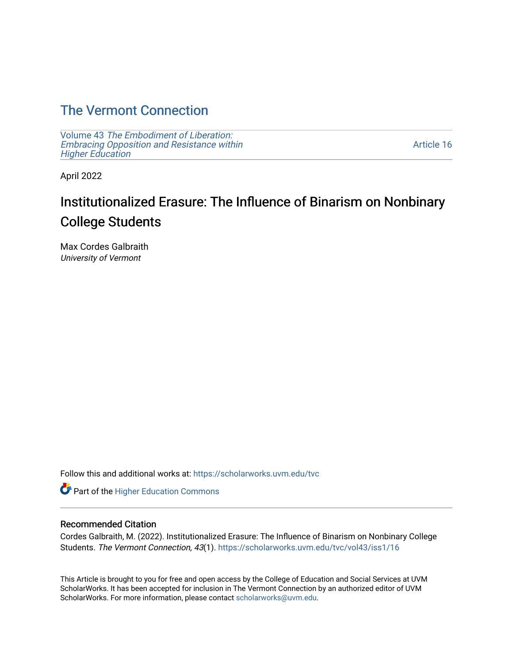## [The Vermont Connection](https://scholarworks.uvm.edu/tvc)

Volume 43 [The Embodiment of Liberation:](https://scholarworks.uvm.edu/tvc/vol43) [Embracing Opposition and Resistance within](https://scholarworks.uvm.edu/tvc/vol43)  [Higher Education](https://scholarworks.uvm.edu/tvc/vol43) 

[Article 16](https://scholarworks.uvm.edu/tvc/vol43/iss1/16) 

April 2022

# Institutionalized Erasure: The Influence of Binarism on Nonbinary College Students

Max Cordes Galbraith University of Vermont

Follow this and additional works at: [https://scholarworks.uvm.edu/tvc](https://scholarworks.uvm.edu/tvc?utm_source=scholarworks.uvm.edu%2Ftvc%2Fvol43%2Fiss1%2F16&utm_medium=PDF&utm_campaign=PDFCoverPages)

Part of the [Higher Education Commons](http://network.bepress.com/hgg/discipline/1245?utm_source=scholarworks.uvm.edu%2Ftvc%2Fvol43%2Fiss1%2F16&utm_medium=PDF&utm_campaign=PDFCoverPages) 

## Recommended Citation

Cordes Galbraith, M. (2022). Institutionalized Erasure: The Influence of Binarism on Nonbinary College Students. The Vermont Connection, 43(1). [https://scholarworks.uvm.edu/tvc/vol43/iss1/16](https://scholarworks.uvm.edu/tvc/vol43/iss1/16?utm_source=scholarworks.uvm.edu%2Ftvc%2Fvol43%2Fiss1%2F16&utm_medium=PDF&utm_campaign=PDFCoverPages) 

This Article is brought to you for free and open access by the College of Education and Social Services at UVM ScholarWorks. It has been accepted for inclusion in The Vermont Connection by an authorized editor of UVM ScholarWorks. For more information, please contact [scholarworks@uvm.edu](mailto:scholarworks@uvm.edu).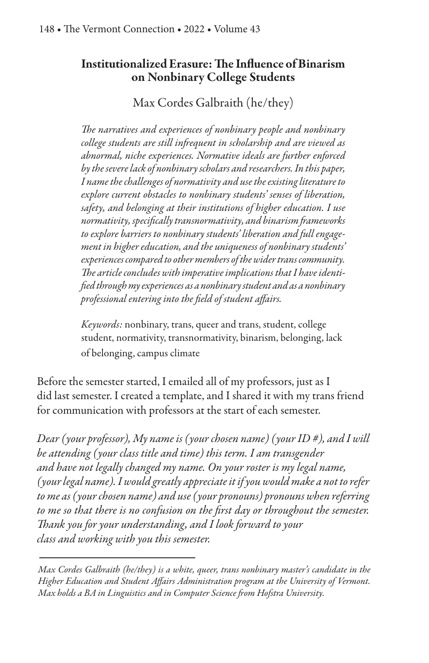## **Institutionalized Erasure: The Influence of Binarism** on Nonbinary College Students

Max Cordes Galbraith (he/they)

The narratives and experiences of nonbinary people and nonbinary college students are still infrequent in scholarship and are viewed as abnormal, niche experiences. Normative ideals are further enforced by the severe lack of nonbinary scholars and researchers. In this paper, I name the challenges of normativity and use the existing literature to explore current obstacles to nonbinary students' senses of liberation, safety, and belonging at their institutions of higher education. I use normativity, specifically transnormativity, and binarism frameworks to explore barriers to nonbinary students' liberation and full engagement in higher education, and the uniqueness of nonbinary students' experiences compared to other members of the wider trans community. The article concludes with imperative implications that I have identified through my experiences as a nonbinary student and as a nonbinary professional entering into the field of student affairs.

*Keywords:* nonbinary, trans, queer and trans, student, college student, normativity, transnormativity, binarism, belonging, lack of belonging, campus climate

Before the semester started, I emailed all of my professors, just as I did last semester. I created a template, and I shared it with my trans friend for communication with professors at the start of each semester.

Dear (your professor), My name is (your chosen name) (your ID #), and I will be attending (your class title and time) this term. I am transgender and have not legally changed my name. On your roster is my legal name, (your legal name). I would greatly appreciate it if you would make a not to refer to me as (your chosen name) and use (your pronouns) pronouns when referring to me so that there is no confusion on the first day or throughout the semester. Thank you for your understanding, and I look forward to your class and working with you this semester.

Max Cordes Galbraith (he/they) is a white, queer, trans nonbinary master's candidate in the Higher Education and Student Affairs Administration program at the University of Vermont. Max holds a BA in Linguistics and in Computer Science from Hofstra University.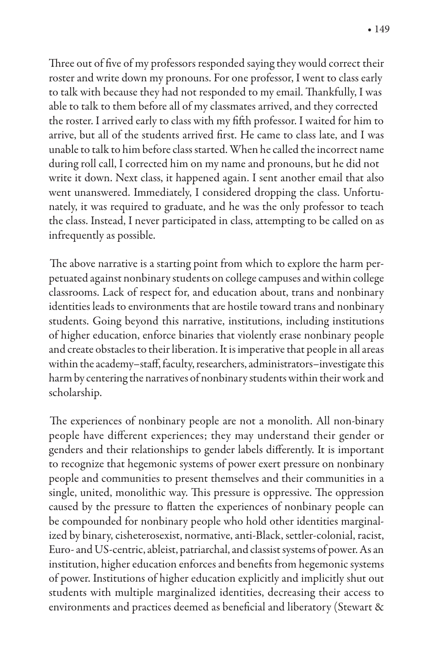Three out of five of my professors responded saying they would correct their roster and write down my pronouns. For one professor, I went to class early to talk with because they had not responded to my email. Thankfully, I was able to talk to them before all of my classmates arrived, and they corrected the roster. I arrived early to class with my fifth professor. I waited for him to arrive, but all of the students arrived first. He came to class late, and I was unable to talk to him before class started. When he called the incorrect name during roll call, I corrected him on my name and pronouns, but he did not write it down. Next class, it happened again. I sent another email that also went unanswered. Immediately, I considered dropping the class. Unfortunately, it was required to graduate, and he was the only professor to teach the class. Instead, I never participated in class, attempting to be called on as infrequently as possible.

The above narrative is a starting point from which to explore the harm perpetuated against nonbinary students on college campuses and within college classrooms. Lack of respect for, and education about, trans and nonbinary identities leads to environments that are hostile toward trans and nonbinary students. Going beyond this narrative, institutions, including institutions of higher education, enforce binaries that violently erase nonbinary people and create obstacles to their liberation. It is imperative that people in all areas within the academy-staff, faculty, researchers, administrators-investigate this harm by centering the narratives of nonbinary students within their work and scholarship.

The experiences of nonbinary people are not a monolith. All non-binary people have different experiences; they may understand their gender or genders and their relationships to gender labels differently. It is important to recognize that hegemonic systems of power exert pressure on nonbinary people and communities to present themselves and their communities in a single, united, monolithic way. This pressure is oppressive. The oppression caused by the pressure to flatten the experiences of nonbinary people can be compounded for nonbinary people who hold other identities marginalized by binary, cisheterosexist, normative, anti-Black, settler-colonial, racist, Euro- and US-centric, ableist, patriarchal, and classist systems of power. As an institution, higher education enforces and benefits from hegemonic systems of power. Institutions of higher education explicitly and implicitly shut out students with multiple marginalized identities, decreasing their access to environments and practices deemed as beneficial and liberatory (Stewart &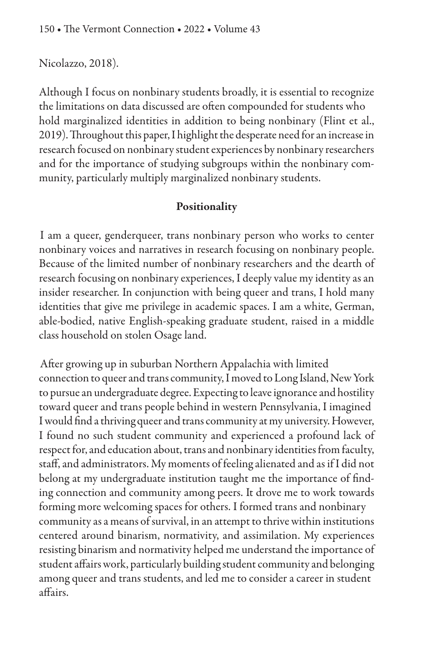## Nicolazzo, 2018).

Although I focus on nonbinary students broadly, it is essential to recognize the limitations on data discussed are often compounded for students who hold marginalized identities in addition to being nonbinary (Flint et al., 2019). Throughout this paper, I highlight the desperate need for an increase in research focused on nonbinary student experiences by nonbinary researchers and for the importance of studying subgroups within the nonbinary community, particularly multiply marginalized nonbinary students.

## Positionality

I am a queer, genderqueer, trans nonbinary person who works to center nonbinary voices and narratives in research focusing on nonbinary people. Because of the limited number of nonbinary researchers and the dearth of research focusing on nonbinary experiences, I deeply value my identity as an insider researcher. In conjunction with being queer and trans, I hold many identities that give me privilege in academic spaces. I am a white, German, able-bodied, native English-speaking graduate student, raised in a middle class household on stolen Osage land.

After growing up in suburban Northern Appalachia with limited connection to queer and trans community, I moved to Long Island, New York to pursue an undergraduate degree. Expecting to leave ignorance and hostility toward queer and trans people behind in western Pennsylvania, I imagined I would find a thriving queer and trans community at my university. However, I found no such student community and experienced a profound lack of respect for, and education about, trans and nonbinary identities from faculty, staff, and administrators. My moments of feeling alienated and as if I did not belong at my undergraduate institution taught me the importance of finding connection and community among peers. It drove me to work towards forming more welcoming spaces for others. I formed trans and nonbinary community as a means of survival, in an attempt to thrive within institutions centered around binarism, normativity, and assimilation. My experiences resisting binarism and normativity helped me understand the importance of student affairs work, particularly building student community and belonging among queer and trans students, and led me to consider a career in student affairs.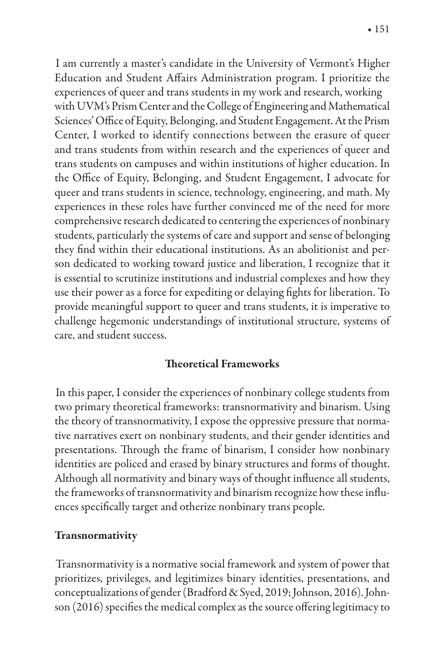I am currently a master's candidate in the University of Vermont's Higher Education and Student Affairs Administration program. I prioritize the experiences of queer and trans students in my work and research, working with UVM's Prism Center and the College of Engineering and Mathematical Sciences' Office of Equity, Belonging, and Student Engagement. At the Prism Center, I worked to identify connections between the erasure of queer and trans students from within research and the experiences of queer and trans students on campuses and within institutions of higher education. In the Office of Equity, Belonging, and Student Engagement, I advocate for queer and trans students in science, technology, engineering, and math. My experiences in these roles have further convinced me of the need for more comprehensive research dedicated to centering the experiences of nonbinary students, particularly the systems of care and support and sense of belonging they find within their educational institutions. As an abolitionist and person dedicated to working toward justice and liberation, I recognize that it is essential to scrutinize institutions and industrial complexes and how they use their power as a force for expediting or delaying fights for liberation. To provide meaningful support to queer and trans students, it is imperative to challenge hegemonic understandings of institutional structure, systems of care, and student success.

## **Theoretical Frameworks**

In this paper, I consider the experiences of nonbinary college students from two primary theoretical frameworks: transnormativity and binarism. Using the theory of transnormativity, I expose the oppressive pressure that normative narratives exert on nonbinary students, and their gender identities and presentations. Through the frame of binarism, I consider how nonbinary identities are policed and erased by binary structures and forms of thought. Although all normativity and binary ways of thought influence all students, the frameworks of transnormativity and binarism recognize how these influences specifically target and otherize nonbinary trans people.

## Transnormativity

Transnormativity is a normative social framework and system of power that prioritizes, privileges, and legitimizes binary identities, presentations, and conceptualizations of gender (Bradford & Syed, 2019; Johnson, 2016). Johnson (2016) specifies the medical complex as the source offering legitimacy to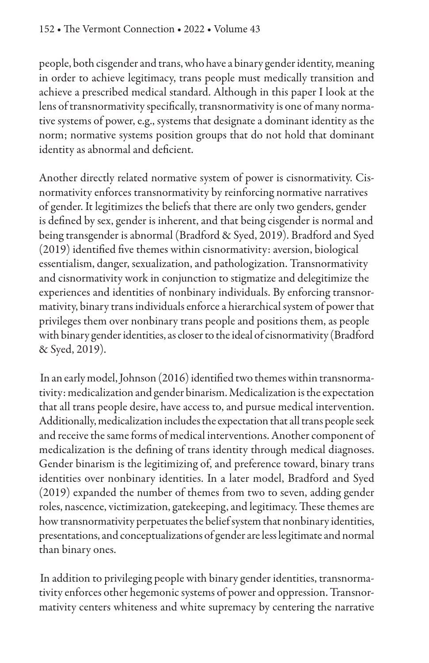people, both cisgender and trans, who have a binary gender identity, meaning in order to achieve legitimacy, trans people must medically transition and achieve a prescribed medical standard. Although in this paper I look at the lens of transnormativity specifically, transnormativity is one of many normative systems of power, e.g., systems that designate a dominant identity as the norm; normative systems position groups that do not hold that dominant identity as abnormal and deficient.

Another directly related normative system of power is cisnormativity. Cisnormativity enforces transnormativity by reinforcing normative narratives of gender. It legitimizes the beliefs that there are only two genders, gender is defined by sex, gender is inherent, and that being cisgender is normal and being transgender is abnormal (Bradford & Syed, 2019). Bradford and Syed (2019) identified five themes within cisnormativity: aversion, biological essentialism, danger, sexualization, and pathologization. Transnormativity and cisnormativity work in conjunction to stigmatize and delegitimize the experiences and identities of nonbinary individuals. By enforcing transnormativity, binary trans individuals enforce a hierarchical system of power that privileges them over nonbinary trans people and positions them, as people with binary gender identities, as closer to the ideal of cisnormativity (Bradford & Syed, 2019).

In an early model, Johnson (2016) identified two themes within transnormativity: medicalization and gender binarism. Medicalization is the expectation that all trans people desire, have access to, and pursue medical intervention. Additionally, medicalization includes the expectation that all trans people seek and receive the same forms of medical interventions. Another component of medicalization is the defining of trans identity through medical diagnoses. Gender binarism is the legitimizing of, and preference toward, binary trans identities over nonbinary identities. In a later model, Bradford and Syed (2019) expanded the number of themes from two to seven, adding gender roles, nascence, victimization, gatekeeping, and legitimacy. These themes are how transnormativity perpetuates the belief system that nonbinary identities, presentations, and conceptualizations of gender are less legitimate and normal than binary ones.

In addition to privileging people with binary gender identities, transnormativity enforces other hegemonic systems of power and oppression. Transnormativity centers whiteness and white supremacy by centering the narrative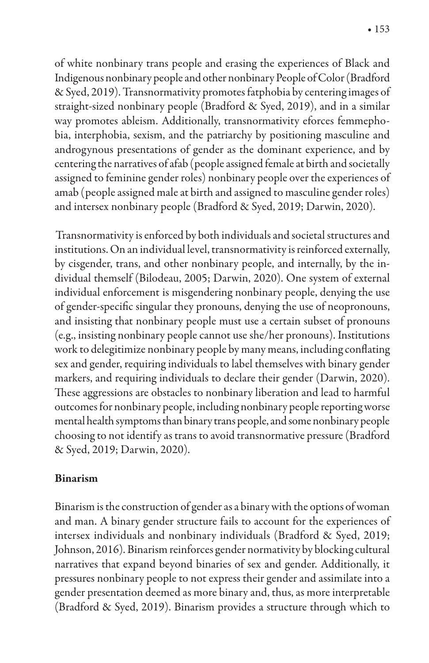$• 153$ 

of white nonbinary trans people and erasing the experiences of Black and Indigenous nonbinary people and other nonbinary People of Color (Bradford & Syed, 2019). Transnormativity promotes fatphobia by centering images of straight-sized nonbinary people (Bradford & Syed, 2019), and in a similar way promotes ableism. Additionally, transnormativity eforces femmephobia, interphobia, sexism, and the patriarchy by positioning masculine and androgynous presentations of gender as the dominant experience, and by centering the narratives of afab (people assigned female at birth and societally assigned to feminine gender roles) nonbinary people over the experiences of amab (people assigned male at birth and assigned to masculine gender roles) and intersex nonbinary people (Bradford & Syed, 2019; Darwin, 2020).

Transnormativity is enforced by both individuals and societal structures and institutions. On an individual level, transnormativity is reinforced externally, by cisgender, trans, and other nonbinary people, and internally, by the individual themself (Bilodeau, 2005; Darwin, 2020). One system of external individual enforcement is misgendering nonbinary people, denying the use of gender-specific singular they pronouns, denying the use of neopronouns, and insisting that nonbinary people must use a certain subset of pronouns (e.g., insisting nonbinary people cannot use she/her pronouns). Institutions work to delegitimize nonbinary people by many means, including conflating sex and gender, requiring individuals to label themselves with binary gender markers, and requiring individuals to declare their gender (Darwin, 2020). These aggressions are obstacles to nonbinary liberation and lead to harmful outcomes for nonbinary people, including nonbinary people reporting worse mental health symptoms than binary trans people, and some nonbinary people choosing to not identify as trans to avoid transnormative pressure (Bradford & Syed, 2019; Darwin, 2020).

#### **Binarism**

Binarism is the construction of gender as a binary with the options of woman and man. A binary gender structure fails to account for the experiences of intersex individuals and nonbinary individuals (Bradford & Syed, 2019; Johnson, 2016). Binarism reinforces gender normativity by blocking cultural narratives that expand beyond binaries of sex and gender. Additionally, it pressures nonbinary people to not express their gender and assimilate into a gender presentation deemed as more binary and, thus, as more interpretable (Bradford & Syed, 2019). Binarism provides a structure through which to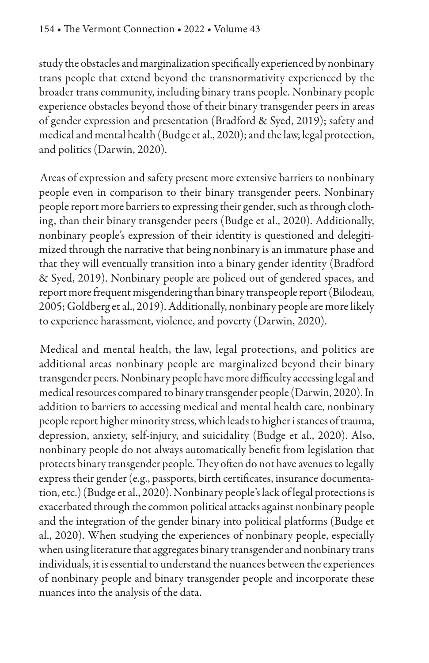study the obstacles and marginalization specifically experienced by nonbinary trans people that extend beyond the transnormativity experienced by the broader trans community, including binary trans people. Nonbinary people experience obstacles beyond those of their binary transgender peers in areas of gender expression and presentation (Bradford & Syed, 2019); safety and medical and mental health (Budge et al., 2020); and the law, legal protection, and politics (Darwin, 2020).

Areas of expression and safety present more extensive barriers to nonbinary people even in comparison to their binary transgender peers. Nonbinary people report more barriers to expressing their gender, such as through clothing, than their binary transgender peers (Budge et al., 2020). Additionally, nonbinary people's expression of their identity is questioned and delegitimized through the narrative that being nonbinary is an immature phase and that they will eventually transition into a binary gender identity (Bradford & Syed, 2019). Nonbinary people are policed out of gendered spaces, and report more frequent misgendering than binary transpeople report (Bilodeau, 2005; Goldberg et al., 2019). Additionally, nonbinary people are more likely to experience harassment, violence, and poverty (Darwin, 2020).

Medical and mental health, the law, legal protections, and politics are additional areas nonbinary people are marginalized beyond their binary transgender peers. Nonbinary people have more difficulty accessing legal and medical resources compared to binary transgender people (Darwin, 2020). In addition to barriers to accessing medical and mental health care, nonbinary people report higher minority stress, which leads to higher i stances of trauma, depression, anxiety, self-injury, and suicidality (Budge et al., 2020). Also, nonbinary people do not always automatically benefit from legislation that protects binary transgender people. They often do not have avenues to legally express their gender (e.g., passports, birth certificates, insurance documentation, etc.) (Budge et al., 2020). Nonbinary people's lack of legal protections is exacerbated through the common political attacks against nonbinary people and the integration of the gender binary into political platforms (Budge et al., 2020). When studying the experiences of nonbinary people, especially when using literature that aggregates binary transgender and nonbinary trans individuals, it is essential to understand the nuances between the experiences of nonbinary people and binary transgender people and incorporate these nuances into the analysis of the data.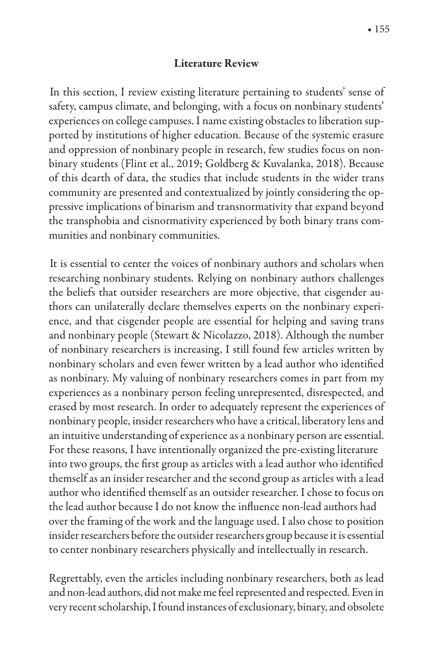#### **Literature Review**

In this section, I review existing literature pertaining to students' sense of safety, campus climate, and belonging, with a focus on nonbinary students' experiences on college campuses. I name existing obstacles to liberation supported by institutions of higher education. Because of the systemic erasure and oppression of nonbinary people in research, few studies focus on nonbinary students (Flint et al., 2019; Goldberg & Kuvalanka, 2018). Because of this dearth of data, the studies that include students in the wider trans community are presented and contextualized by jointly considering the oppressive implications of binarism and transnormativity that expand beyond the transphobia and cisnormativity experienced by both binary trans communities and nonbinary communities.

It is essential to center the voices of nonbinary authors and scholars when researching nonbinary students. Relying on nonbinary authors challenges the beliefs that outsider researchers are more objective, that cisgender authors can unilaterally declare themselves experts on the nonbinary experience, and that cisgender people are essential for helping and saving trans and nonbinary people (Stewart & Nicolazzo, 2018). Although the number of nonbinary researchers is increasing, I still found few articles written by nonbinary scholars and even fewer written by a lead author who identified as nonbinary. My valuing of nonbinary researchers comes in part from my experiences as a nonbinary person feeling unrepresented, disrespected, and erased by most research. In order to adequately represent the experiences of nonbinary people, insider researchers who have a critical, liberatory lens and an intuitive understanding of experience as a nonbinary person are essential. For these reasons, I have intentionally organized the pre-existing literature into two groups, the first group as articles with a lead author who identified themself as an insider researcher and the second group as articles with a lead author who identified themself as an outsider researcher. I chose to focus on the lead author because I do not know the influence non-lead authors had over the framing of the work and the language used. I also chose to position insider researchers before the outsider researchers group because it is essential to center nonbinary researchers physically and intellectually in research.

Regrettably, even the articles including nonbinary researchers, both as lead and non-lead authors, did not make me feel represented and respected. Even in very recent scholarship, I found instances of exclusionary, binary, and obsolete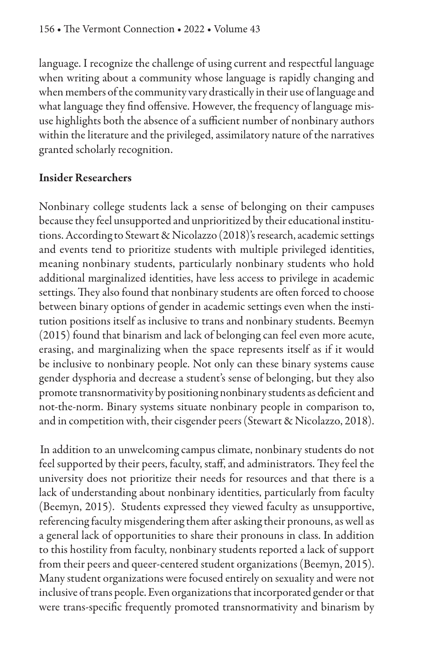language. I recognize the challenge of using current and respectful language when writing about a community whose language is rapidly changing and when members of the community vary drastically in their use of language and what language they find offensive. However, the frequency of language misuse highlights both the absence of a sufficient number of nonbinary authors within the literature and the privileged, assimilatory nature of the narratives granted scholarly recognition.

## **Insider Researchers**

Nonbinary college students lack a sense of belonging on their campuses because they feel unsupported and unprioritized by their educational institutions. According to Stewart & Nicolazzo (2018)'s research, academic settings and events tend to prioritize students with multiple privileged identities, meaning nonbinary students, particularly nonbinary students who hold additional marginalized identities, have less access to privilege in academic settings. They also found that nonbinary students are often forced to choose between binary options of gender in academic settings even when the institution positions itself as inclusive to trans and nonbinary students. Beemyn (2015) found that binarism and lack of belonging can feel even more acute, erasing, and marginalizing when the space represents itself as if it would be inclusive to nonbinary people. Not only can these binary systems cause gender dysphoria and decrease a student's sense of belonging, but they also promote transnormativity by positioning nonbinary students as deficient and not-the-norm. Binary systems situate nonbinary people in comparison to, and in competition with, their cisgender peers (Stewart & Nicolazzo, 2018).

In addition to an unwelcoming campus climate, nonbinary students do not feel supported by their peers, faculty, staff, and administrators. They feel the university does not prioritize their needs for resources and that there is a lack of understanding about nonbinary identities, particularly from faculty (Beemyn, 2015). Students expressed they viewed faculty as unsupportive, referencing faculty misgendering them after asking their pronouns, as well as a general lack of opportunities to share their pronouns in class. In addition to this hostility from faculty, nonbinary students reported a lack of support from their peers and queer-centered student organizations (Beemyn, 2015). Many student organizations were focused entirely on sexuality and were not inclusive of trans people. Even organizations that incorporated gender or that were trans-specific frequently promoted transnormativity and binarism by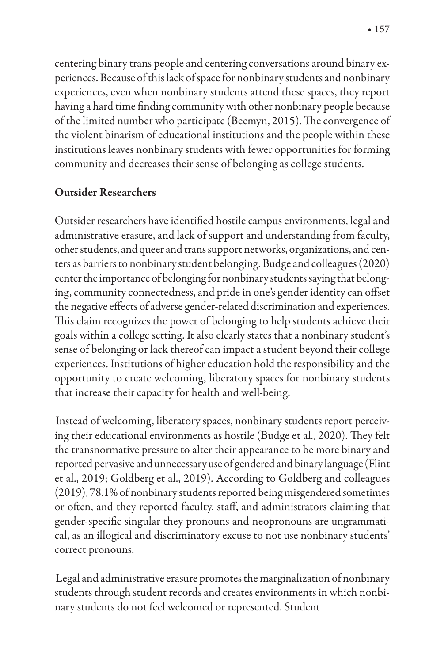centering binary trans people and centering conversations around binary experiences. Because of this lack of space for nonbinary students and nonbinary experiences, even when nonbinary students attend these spaces, they report having a hard time finding community with other nonbinary people because of the limited number who participate (Beemyn, 2015). The convergence of the violent binarism of educational institutions and the people within these institutions leaves nonbinary students with fewer opportunities for forming community and decreases their sense of belonging as college students.

## **Outsider Researchers**

Outsider researchers have identified hostile campus environments, legal and administrative erasure, and lack of support and understanding from faculty, other students, and queer and trans support networks, organizations, and centers as barriers to nonbinary student belonging. Budge and colleagues (2020) center the importance of belonging for nonbinary students saying that belonging, community connectedness, and pride in one's gender identity can offset the negative effects of adverse gender-related discrimination and experiences. This claim recognizes the power of belonging to help students achieve their goals within a college setting. It also clearly states that a nonbinary student's sense of belonging or lack thereof can impact a student beyond their college experiences. Institutions of higher education hold the responsibility and the opportunity to create welcoming, liberatory spaces for nonbinary students that increase their capacity for health and well-being.

Instead of welcoming, liberatory spaces, nonbinary students report perceiving their educational environments as hostile (Budge et al., 2020). They felt the transnormative pressure to alter their appearance to be more binary and reported pervasive and unnecessary use of gendered and binary language (Flint et al., 2019; Goldberg et al., 2019). According to Goldberg and colleagues (2019), 78.1% of nonbinary students reported being misgendered sometimes or often, and they reported faculty, staff, and administrators claiming that gender-specific singular they pronouns and neopronouns are ungrammatical, as an illogical and discriminatory excuse to not use nonbinary students' correct pronouns.

Legal and administrative erasure promotes the marginalization of nonbinary students through student records and creates environments in which nonbinary students do not feel welcomed or represented. Student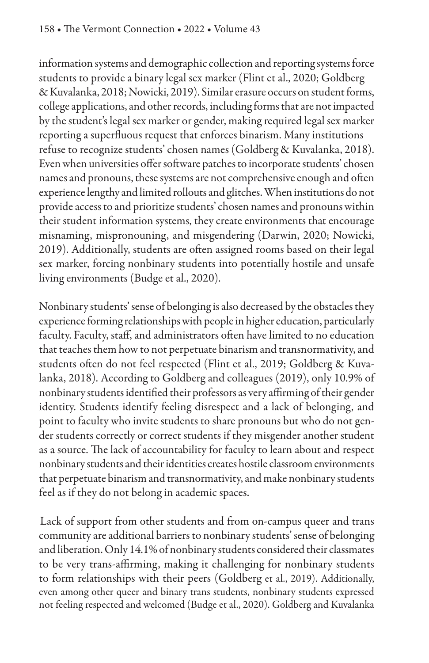information systems and demographic collection and reporting systems force students to provide a binary legal sex marker (Flint et al., 2020; Goldberg & Kuvalanka, 2018; Nowicki, 2019). Similar erasure occurs on student forms, college applications, and other records, including forms that are not impacted by the student's legal sex marker or gender, making required legal sex marker reporting a superfluous request that enforces binarism. Many institutions refuse to recognize students' chosen names (Goldberg & Kuvalanka, 2018). Even when universities offer software patches to incorporate students' chosen names and pronouns, these systems are not comprehensive enough and often experience lengthy and limited rollouts and glitches. When institutions do not provide access to and prioritize students' chosen names and pronouns within their student information systems, they create environments that encourage misnaming, mispronouning, and misgendering (Darwin, 2020; Nowicki, 2019). Additionally, students are often assigned rooms based on their legal sex marker, forcing nonbinary students into potentially hostile and unsafe living environments (Budge et al., 2020).

Nonbinary students' sense of belonging is also decreased by the obstacles they experience forming relationships with people in higher education, particularly faculty. Faculty, staff, and administrators often have limited to no education that teaches them how to not perpetuate binarism and transnormativity, and students often do not feel respected (Flint et al., 2019; Goldberg & Kuvalanka, 2018). According to Goldberg and colleagues (2019), only 10.9% of nonbinary students identified their professors as very affirming of their gender identity. Students identify feeling disrespect and a lack of belonging, and point to faculty who invite students to share pronouns but who do not gender students correctly or correct students if they misgender another student as a source. The lack of accountability for faculty to learn about and respect nonbinary students and their identities creates hostile classroom environments that perpetuate binarism and transnormativity, and make nonbinary students feel as if they do not belong in academic spaces.

Lack of support from other students and from on-campus queer and trans community are additional barriers to nonbinary students' sense of belonging and liberation. Only 14.1% of nonbinary students considered their classmates to be very trans-affirming, making it challenging for nonbinary students to form relationships with their peers (Goldberg et al., 2019). Additionally, even among other queer and binary trans students, nonbinary students expressed not feeling respected and welcomed (Budge et al., 2020). Goldberg and Kuvalanka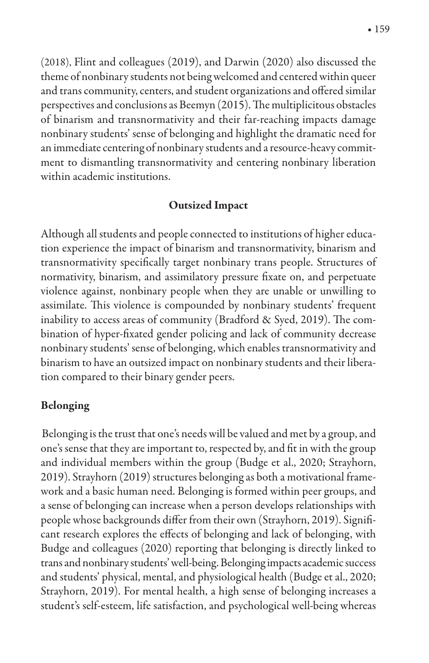(2018), Flint and colleagues (2019), and Darwin (2020) also discussed the theme of nonbinary students not being welcomed and centered within queer and trans community, centers, and student organizations and offered similar perspectives and conclusions as Beemyn (2015). The multiplicitous obstacles of binarism and transnormativity and their far-reaching impacts damage nonbinary students' sense of belonging and highlight the dramatic need for an immediate centering of nonbinary students and a resource-heavy commitment to dismantling transnormativity and centering nonbinary liberation within academic institutions.

#### **Outsized Impact**

Although all students and people connected to institutions of higher education experience the impact of binarism and transnormativity, binarism and transnormativity specifically target nonbinary trans people. Structures of normativity, binarism, and assimilatory pressure fixate on, and perpetuate violence against, nonbinary people when they are unable or unwilling to assimilate. This violence is compounded by nonbinary students' frequent inability to access areas of community (Bradford & Syed, 2019). The combination of hyper-fixated gender policing and lack of community decrease nonbinary students' sense of belonging, which enables transnormativity and binarism to have an outsized impact on nonbinary students and their liberation compared to their binary gender peers.

#### **Belonging**

Belonging is the trust that one's needs will be valued and met by a group, and one's sense that they are important to, respected by, and fit in with the group and individual members within the group (Budge et al., 2020; Strayhorn, 2019). Strayhorn (2019) structures belonging as both a motivational framework and a basic human need. Belonging is formed within peer groups, and a sense of belonging can increase when a person develops relationships with people whose backgrounds differ from their own (Strayhorn, 2019). Significant research explores the effects of belonging and lack of belonging, with Budge and colleagues (2020) reporting that belonging is directly linked to trans and nonbinary students' well-being. Belonging impacts academic success and students' physical, mental, and physiological health (Budge et al., 2020; Strayhorn, 2019). For mental health, a high sense of belonging increases a student's self-esteem, life satisfaction, and psychological well-being whereas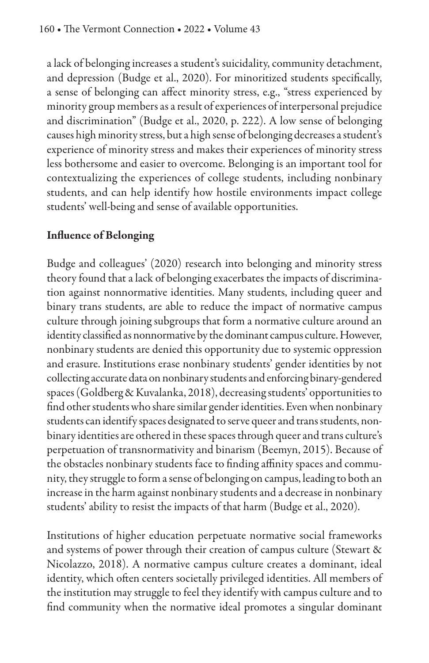a lack of belonging increases a student's suicidality, community detachment, and depression (Budge et al., 2020). For minoritized students specifically, a sense of belonging can affect minority stress, e.g., "stress experienced by minority group members as a result of experiences of interpersonal prejudice and discrimination" (Budge et al., 2020, p. 222). A low sense of belonging causes high minority stress, but a high sense of belonging decreases a student's experience of minority stress and makes their experiences of minority stress less bothersome and easier to overcome. Belonging is an important tool for contextualizing the experiences of college students, including nonbinary students, and can help identify how hostile environments impact college students' well-being and sense of available opportunities.

## **Influence of Belonging**

Budge and colleagues' (2020) research into belonging and minority stress theory found that a lack of belonging exacerbates the impacts of discrimination against nonnormative identities. Many students, including queer and binary trans students, are able to reduce the impact of normative campus culture through joining subgroups that form a normative culture around an identity classified as nonnormative by the dominant campus culture. However, nonbinary students are denied this opportunity due to systemic oppression and erasure. Institutions erase nonbinary students' gender identities by not collecting accurate data on nonbinary students and enforcing binary-gendered spaces (Goldberg & Kuvalanka, 2018), decreasing students' opportunities to find other students who share similar gender identities. Even when nonbinary students can identify spaces designated to serve queer and trans students, nonbinary identities are othered in these spaces through queer and trans culture's perpetuation of transnormativity and binarism (Beemyn, 2015). Because of the obstacles nonbinary students face to finding affinity spaces and community, they struggle to form a sense of belonging on campus, leading to both an increase in the harm against nonbinary students and a decrease in nonbinary students' ability to resist the impacts of that harm (Budge et al., 2020).

Institutions of higher education perpetuate normative social frameworks and systems of power through their creation of campus culture (Stewart & Nicolazzo, 2018). A normative campus culture creates a dominant, ideal identity, which often centers societally privileged identities. All members of the institution may struggle to feel they identify with campus culture and to find community when the normative ideal promotes a singular dominant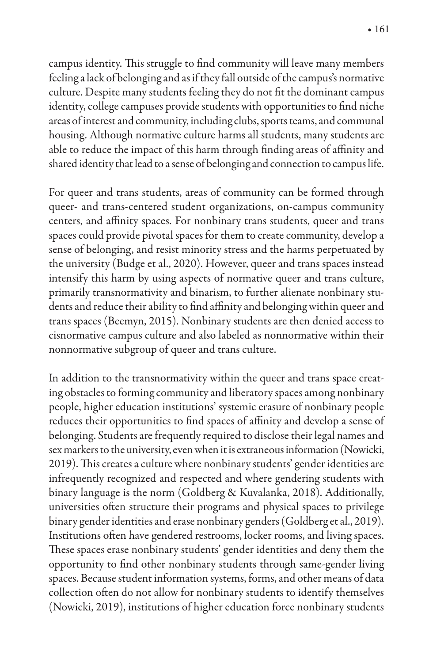campus identity. This struggle to find community will leave many members feeling a lack of belonging and as if they fall outside of the campus's normative culture. Despite many students feeling they do not fit the dominant campus identity, college campuses provide students with opportunities to find niche areas of interest and community, including clubs, sports teams, and communal housing. Although normative culture harms all students, many students are able to reduce the impact of this harm through finding areas of affinity and shared identity that lead to a sense of belonging and connection to campus life.

For queer and trans students, areas of community can be formed through queer- and trans-centered student organizations, on-campus community centers, and affinity spaces. For nonbinary trans students, queer and trans spaces could provide pivotal spaces for them to create community, develop a sense of belonging, and resist minority stress and the harms perpetuated by the university (Budge et al., 2020). However, queer and trans spaces instead intensify this harm by using aspects of normative queer and trans culture, primarily transnormativity and binarism, to further alienate nonbinary students and reduce their ability to find affinity and belonging within queer and trans spaces (Beemyn, 2015). Nonbinary students are then denied access to cisnormative campus culture and also labeled as nonnormative within their nonnormative subgroup of queer and trans culture.

In addition to the transnormativity within the queer and trans space creating obstacles to forming community and liberatory spaces among nonbinary people, higher education institutions' systemic erasure of nonbinary people reduces their opportunities to find spaces of affinity and develop a sense of belonging. Students are frequently required to disclose their legal names and sex markers to the university, even when it is extraneous information (Nowicki, 2019). This creates a culture where nonbinary students' gender identities are infrequently recognized and respected and where gendering students with binary language is the norm (Goldberg & Kuvalanka, 2018). Additionally, universities often structure their programs and physical spaces to privilege binary gender identities and erase nonbinary genders (Goldberg et al., 2019). Institutions often have gendered restrooms, locker rooms, and living spaces. These spaces erase nonbinary students' gender identities and deny them the opportunity to find other nonbinary students through same-gender living spaces. Because student information systems, forms, and other means of data collection often do not allow for nonbinary students to identify themselves (Nowicki, 2019), institutions of higher education force nonbinary students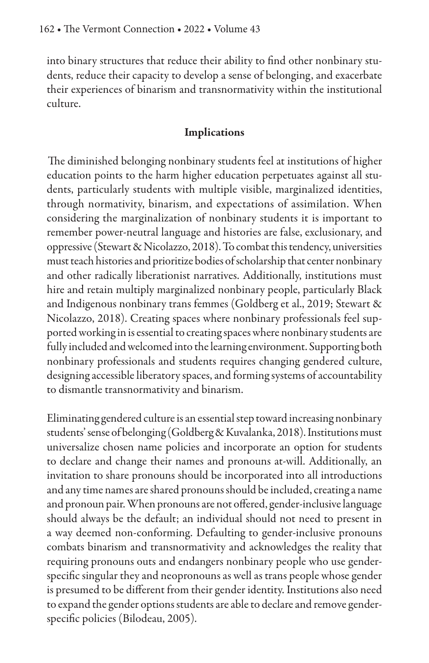into binary structures that reduce their ability to find other nonbinary students, reduce their capacity to develop a sense of belonging, and exacerbate their experiences of binarism and transnormativity within the institutional culture.

#### **Implications**

The diminished belonging nonbinary students feel at institutions of higher education points to the harm higher education perpetuates against all students, particularly students with multiple visible, marginalized identities, through normativity, binarism, and expectations of assimilation. When considering the marginalization of nonbinary students it is important to remember power-neutral language and histories are false, exclusionary, and oppressive (Stewart & Nicolazzo, 2018). To combat this tendency, universities must teach histories and prioritize bodies of scholarship that center nonbinary and other radically liberationist narratives. Additionally, institutions must hire and retain multiply marginalized nonbinary people, particularly Black and Indigenous nonbinary trans femmes (Goldberg et al., 2019; Stewart & Nicolazzo, 2018). Creating spaces where nonbinary professionals feel supported working in is essential to creating spaces where nonbinary students are fully included and welcomed into the learning environment. Supporting both nonbinary professionals and students requires changing gendered culture, designing accessible liberatory spaces, and forming systems of accountability to dismantle transnormativity and binarism.

Eliminating gendered culture is an essential step toward increasing nonbinary students' sense of belonging (Goldberg & Kuvalanka, 2018). Institutions must universalize chosen name policies and incorporate an option for students to declare and change their names and pronouns at-will. Additionally, an invitation to share pronouns should be incorporated into all introductions and any time names are shared pronouns should be included, creating a name and pronoun pair. When pronouns are not offered, gender-inclusive language should always be the default; an individual should not need to present in a way deemed non-conforming. Defaulting to gender-inclusive pronouns combats binarism and transnormativity and acknowledges the reality that requiring pronouns outs and endangers nonbinary people who use genderspecific singular they and neopronouns as well as trans people whose gender is presumed to be different from their gender identity. Institutions also need to expand the gender options students are able to declare and remove genderspecific policies (Bilodeau, 2005).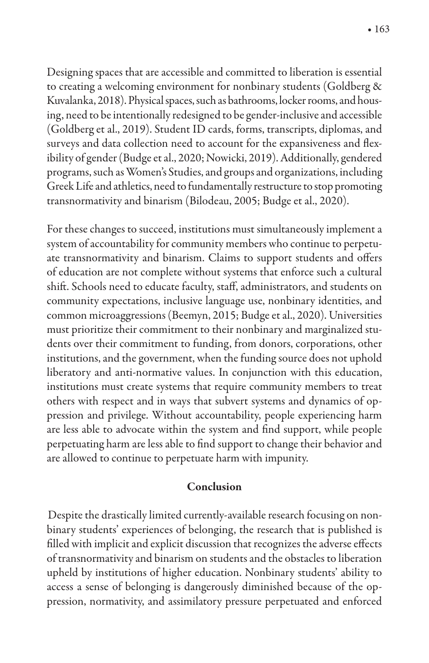Designing spaces that are accessible and committed to liberation is essential to creating a welcoming environment for nonbinary students (Goldberg & Kuvalanka, 2018). Physical spaces, such as bathrooms, locker rooms, and housing, need to be intentionally redesigned to be gender-inclusive and accessible (Goldberg et al., 2019). Student ID cards, forms, transcripts, diplomas, and surveys and data collection need to account for the expansiveness and flexibility of gender (Budge et al., 2020; Nowicki, 2019). Additionally, gendered programs, such as Women's Studies, and groups and organizations, including Greek Life and athletics, need to fundamentally restructure to stop promoting transnormativity and binarism (Bilodeau, 2005; Budge et al., 2020).

For these changes to succeed, institutions must simultaneously implement a system of accountability for community members who continue to perpetuate transnormativity and binarism. Claims to support students and offers of education are not complete without systems that enforce such a cultural shift. Schools need to educate faculty, staff, administrators, and students on community expectations, inclusive language use, nonbinary identities, and common microaggressions (Beemyn, 2015; Budge et al., 2020). Universities must prioritize their commitment to their nonbinary and marginalized students over their commitment to funding, from donors, corporations, other institutions, and the government, when the funding source does not uphold liberatory and anti-normative values. In conjunction with this education, institutions must create systems that require community members to treat others with respect and in ways that subvert systems and dynamics of oppression and privilege. Without accountability, people experiencing harm are less able to advocate within the system and find support, while people perpetuating harm are less able to find support to change their behavior and are allowed to continue to perpetuate harm with impunity.

#### Conclusion

Despite the drastically limited currently-available research focusing on nonbinary students' experiences of belonging, the research that is published is filled with implicit and explicit discussion that recognizes the adverse effects of transnormativity and binarism on students and the obstacles to liberation upheld by institutions of higher education. Nonbinary students' ability to access a sense of belonging is dangerously diminished because of the oppression, normativity, and assimilatory pressure perpetuated and enforced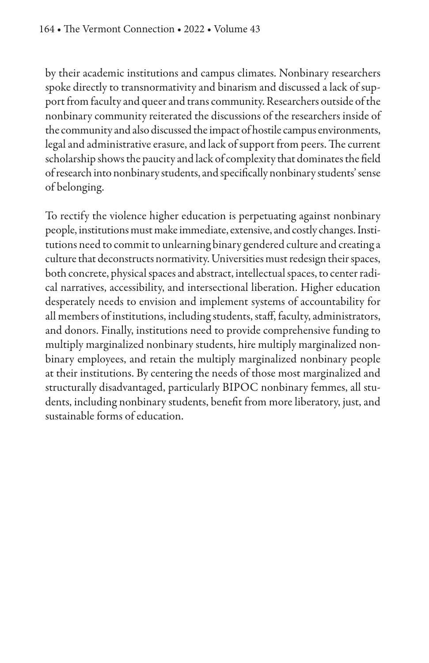by their academic institutions and campus climates. Nonbinary researchers spoke directly to transnormativity and binarism and discussed a lack of support from faculty and queer and trans community. Researchers outside of the nonbinary community reiterated the discussions of the researchers inside of the community and also discussed the impact of hostile campus environments, legal and administrative erasure, and lack of support from peers. The current scholarship shows the paucity and lack of complexity that dominates the field of research into nonbinary students, and specifically nonbinary students' sense of belonging.

To rectify the violence higher education is perpetuating against nonbinary people, institutions must make immediate, extensive, and costly changes. Institutions need to commit to unlearning binary gendered culture and creating a culture that deconstructs normativity. Universities must redesign their spaces, both concrete, physical spaces and abstract, intellectual spaces, to center radical narratives, accessibility, and intersectional liberation. Higher education desperately needs to envision and implement systems of accountability for all members of institutions, including students, staff, faculty, administrators, and donors. Finally, institutions need to provide comprehensive funding to multiply marginalized nonbinary students, hire multiply marginalized nonbinary employees, and retain the multiply marginalized nonbinary people at their institutions. By centering the needs of those most marginalized and structurally disadvantaged, particularly BIPOC nonbinary femmes, all students, including nonbinary students, benefit from more liberatory, just, and sustainable forms of education.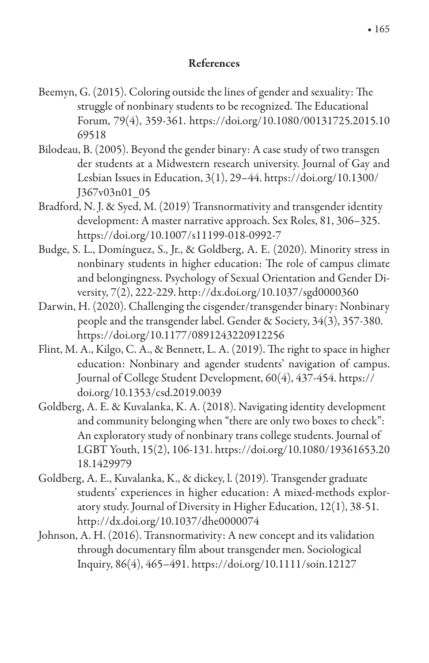#### **References**

- Beemyn, G. (2015). Coloring outside the lines of gender and sexuality: The struggle of nonbinary students to be recognized. The Educational Forum, 79(4), 359-361. https://doi.org/10.1080/00131725.2015.10 69518
- Bilodeau, B. (2005). Beyond the gender binary: A case study of two transgen der students at a Midwestern research university. Journal of Gay and Lesbian Issues in Education, 3(1), 29-44. https://doi.org/10.1300/ J367v03n01 05
- Bradford, N. J. & Syed, M. (2019) Transnormativity and transgender identity development: A master narrative approach. Sex Roles, 81, 306-325. https://doi.org/10.1007/s11199-018-0992-7
- Budge, S. L., Domínguez, S., Jr., & Goldberg, A. E. (2020). Minority stress in nonbinary students in higher education: The role of campus climate and belongingness. Psychology of Sexual Orientation and Gender Diversity, 7(2), 222-229. http://dx.doi.org/10.1037/sgd0000360
- Darwin, H. (2020). Challenging the cisgender/transgender binary: Nonbinary people and the transgender label. Gender & Society, 34(3), 357-380. https://doi.org/10.1177/0891243220912256
- Flint, M. A., Kilgo, C. A., & Bennett, L. A. (2019). The right to space in higher education: Nonbinary and agender students' navigation of campus. Journal of College Student Development, 60(4), 437-454. https:// doi.org/10.1353/csd.2019.0039
- Goldberg, A. E. & Kuvalanka, K. A. (2018). Navigating identity development and community belonging when "there are only two boxes to check": An exploratory study of nonbinary trans college students. Journal of LGBT Youth, 15(2), 106-131. https://doi.org/10.1080/19361653.20 18.1429979
- Goldberg, A. E., Kuvalanka, K., & dickey, l. (2019). Transgender graduate students' experiences in higher education: A mixed-methods exploratory study. Journal of Diversity in Higher Education,  $12(1)$ ,  $38-51$ . http://dx.doi.org/10.1037/dhe0000074
- Johnson, A. H. (2016). Transnormativity: A new concept and its validation through documentary film about transgender men. Sociological Inquiry, 86(4), 465-491. https://doi.org/10.1111/soin.12127